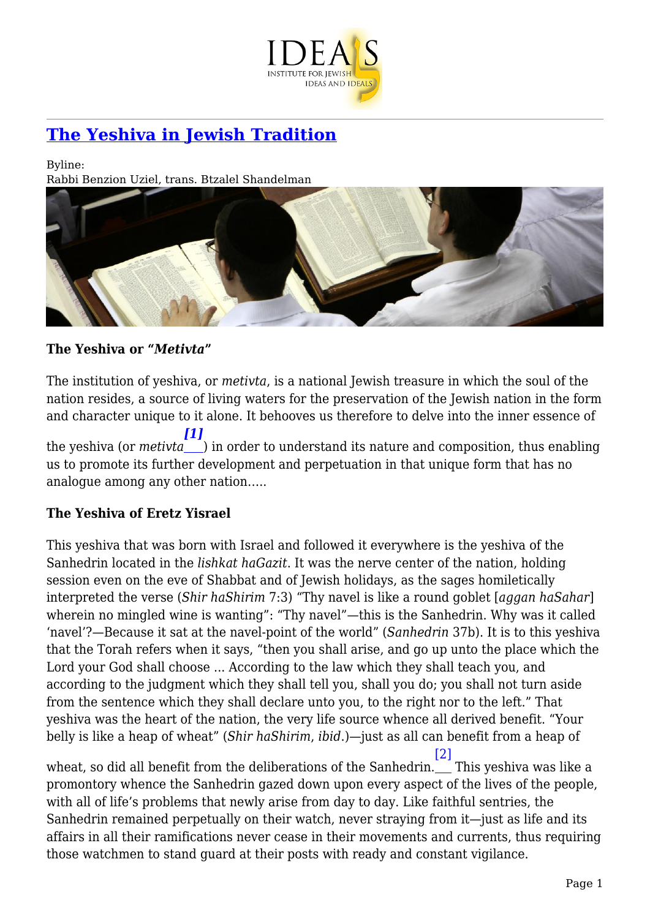

# **[The Yeshiva in Jewish Tradition](https://www.jewishideas.org/article/yeshiva-jewish-tradition)**

Byline: Rabbi Benzion Uziel, trans. Btzalel Shandelman



### **The Yeshiva or "***Metivta***"**

The institution of yeshiva, or *metivta*, is a national Jewish treasure in which the soul of the nation resides, a source of living waters for the preservation of the Jewish nation in the form and character unique to it alone. It behooves us therefore to delve into the inner essence of

<span id="page-0-0"></span>the yeshiva (or *metivta* ) in order to understand its nature and composition, thus enabling *[\[1\]](#page-9-0)* us to promote its further development and perpetuation in that unique form that has no analogue among any other nation…..

### **The Yeshiva of Eretz Yisrael**

This yeshiva that was born with Israel and followed it everywhere is the yeshiva of the Sanhedrin located in the *lishkat haGazit*. It was the nerve center of the nation, holding session even on the eve of Shabbat and of Jewish holidays, as the sages homiletically interpreted the verse (*Shir haShirim* 7:3) "Thy navel is like a round goblet [*aggan haSahar*] wherein no mingled wine is wanting": "Thy navel"—this is the Sanhedrin. Why was it called 'navel'?—Because it sat at the navel-point of the world" (*Sanhedrin* 37b). It is to this yeshiva that the Torah refers when it says, "then you shall arise, and go up unto the place which the Lord your God shall choose ... According to the law which they shall teach you, and according to the judgment which they shall tell you, shall you do; you shall not turn aside from the sentence which they shall declare unto you, to the right nor to the left." That yeshiva was the heart of the nation, the very life source whence all derived benefit. "Your belly is like a heap of wheat" (*Shir haShirim*, *ibid*.)—just as all can benefit from a heap of wheat, so did all benefit from the deliberations of the Sanhedrin. This yeshiva was like a [\[2\]](#page-9-1) promontory whence the Sanhedrin gazed down upon every aspect of the lives of the people,

<span id="page-0-1"></span>with all of life's problems that newly arise from day to day. Like faithful sentries, the Sanhedrin remained perpetually on their watch, never straying from it—just as life and its affairs in all their ramifications never cease in their movements and currents, thus requiring those watchmen to stand guard at their posts with ready and constant vigilance.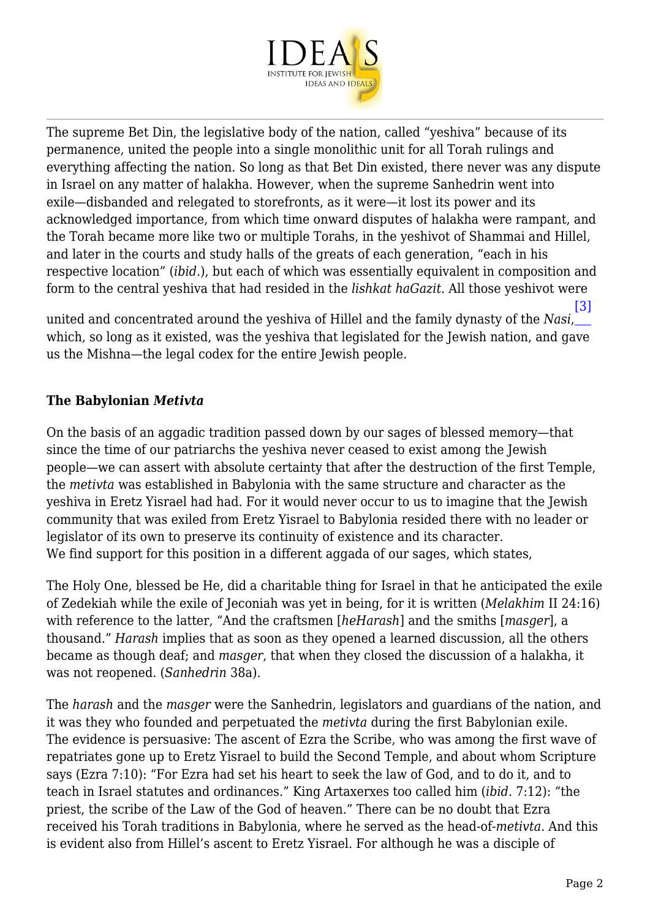

The supreme Bet Din, the legislative body of the nation, called "yeshiva" because of its permanence, united the people into a single monolithic unit for all Torah rulings and everything affecting the nation. So long as that Bet Din existed, there never was any dispute in Israel on any matter of halakha. However, when the supreme Sanhedrin went into exile—disbanded and relegated to storefronts, as it were—it lost its power and its acknowledged importance, from which time onward disputes of halakha were rampant, and the Torah became more like two or multiple Torahs, in the yeshivot of Shammai and Hillel, and later in the courts and study halls of the greats of each generation, "each in his respective location" (*ibid*.), but each of which was essentially equivalent in composition and form to the central yeshiva that had resided in the *lishkat haGazit*. All those yeshivot were [\[3\]](#page-9-2)

<span id="page-1-0"></span>united and concentrated around the yeshiva of Hillel and the family dynasty of the *Nasi*, which, so long as it existed, was the yeshiva that legislated for the Jewish nation, and gave us the Mishna—the legal codex for the entire Jewish people.

# **The Babylonian** *Metivta*

On the basis of an aggadic tradition passed down by our sages of blessed memory—that since the time of our patriarchs the yeshiva never ceased to exist among the Jewish people—we can assert with absolute certainty that after the destruction of the first Temple, the *metivta* was established in Babylonia with the same structure and character as the yeshiva in Eretz Yisrael had had. For it would never occur to us to imagine that the Jewish community that was exiled from Eretz Yisrael to Babylonia resided there with no leader or legislator of its own to preserve its continuity of existence and its character. We find support for this position in a different aggada of our sages, which states,

The Holy One, blessed be He, did a charitable thing for Israel in that he anticipated the exile of Zedekiah while the exile of Jeconiah was yet in being, for it is written (*Melakhim* II 24:16) with reference to the latter, "And the craftsmen [*heHarash*] and the smiths [*masger*], a thousand." *Harash* implies that as soon as they opened a learned discussion, all the others became as though deaf; and *masger*, that when they closed the discussion of a halakha, it was not reopened. (*Sanhedrin* 38a).

<span id="page-1-1"></span>The *harash* and the *masger* were the Sanhedrin, legislators and guardians of the nation, and it was they who founded and perpetuated the *metivta* during the first Babylonian exile. The evidence is persuasive: The ascent of Ezra the Scribe, who was among the first wave of repatriates gone up to Eretz Yisrael to build the Second Temple, and about whom Scripture says (Ezra 7:10): "For Ezra had set his heart to seek the law of God, and to do it, and to teach in Israel statutes and ordinances." King Artaxerxes too called him (*ibid*. 7:12): "the priest, the scribe of the Law of the God of heaven." There can be no doubt that Ezra received his Torah traditions in Babylonia, where he served as the head-of-*metivta*. And this is evident also from Hillel's ascent to Eretz Yisrael. For although he was a disciple of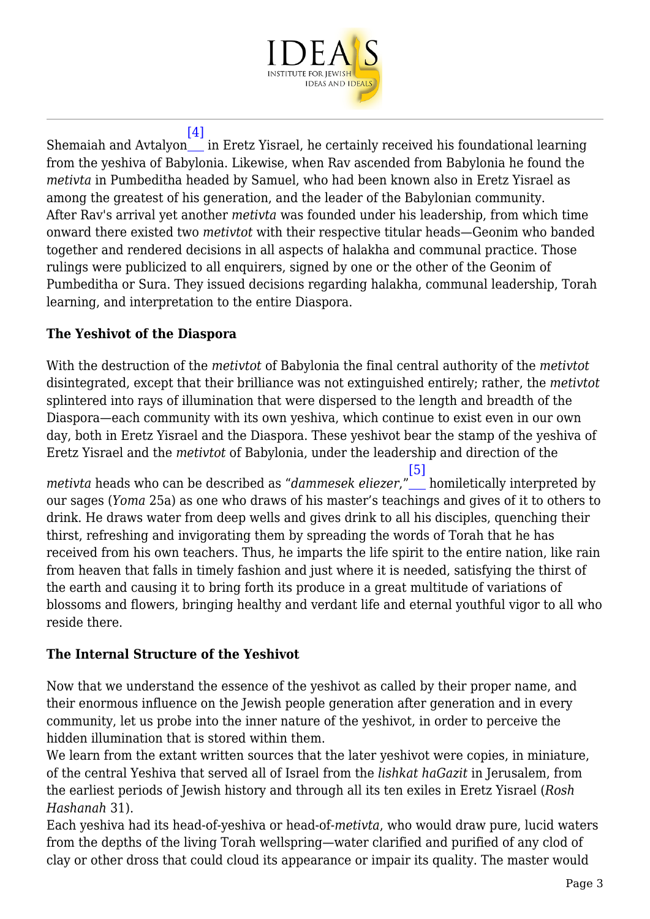

Shemaiah and Avtalyon in Eretz Yisrael, he certainly received his foundational learning [\[4\]](#page-9-3) from the yeshiva of Babylonia. Likewise, when Rav ascended from Babylonia he found the *metivta* in Pumbeditha headed by Samuel, who had been known also in Eretz Yisrael as among the greatest of his generation, and the leader of the Babylonian community. After Rav's arrival yet another *metivta* was founded under his leadership, from which time onward there existed two *metivtot* with their respective titular heads—Geonim who banded together and rendered decisions in all aspects of halakha and communal practice. Those rulings were publicized to all enquirers, signed by one or the other of the Geonim of Pumbeditha or Sura. They issued decisions regarding halakha, communal leadership, Torah learning, and interpretation to the entire Diaspora.

# **The Yeshivot of the Diaspora**

With the destruction of the *metivtot* of Babylonia the final central authority of the *metivtot* disintegrated, except that their brilliance was not extinguished entirely; rather, the *metivtot* splintered into rays of illumination that were dispersed to the length and breadth of the Diaspora—each community with its own yeshiva, which continue to exist even in our own day, both in Eretz Yisrael and the Diaspora. These yeshivot bear the stamp of the yeshiva of Eretz Yisrael and the *metivtot* of Babylonia, under the leadership and direction of the

<span id="page-2-0"></span>*metivta* heads who can be described as "*dammesek eliezer*," [\[5\]](#page-9-4) homiletically interpreted by our sages (*Yoma* 25a) as one who draws of his master's teachings and gives of it to others to drink. He draws water from deep wells and gives drink to all his disciples, quenching their thirst, refreshing and invigorating them by spreading the words of Torah that he has received from his own teachers. Thus, he imparts the life spirit to the entire nation, like rain from heaven that falls in timely fashion and just where it is needed, satisfying the thirst of the earth and causing it to bring forth its produce in a great multitude of variations of blossoms and flowers, bringing healthy and verdant life and eternal youthful vigor to all who reside there.

# **The Internal Structure of the Yeshivot**

Now that we understand the essence of the yeshivot as called by their proper name, and their enormous influence on the Jewish people generation after generation and in every community, let us probe into the inner nature of the yeshivot, in order to perceive the hidden illumination that is stored within them.

We learn from the extant written sources that the later yeshivot were copies, in miniature, of the central Yeshiva that served all of Israel from the *lishkat haGazit* in Jerusalem, from the earliest periods of Jewish history and through all its ten exiles in Eretz Yisrael (*Rosh Hashanah* 31).

Each yeshiva had its head-of-yeshiva or head-of-*metivta*, who would draw pure, lucid waters from the depths of the living Torah wellspring—water clarified and purified of any clod of clay or other dross that could cloud its appearance or impair its quality. The master would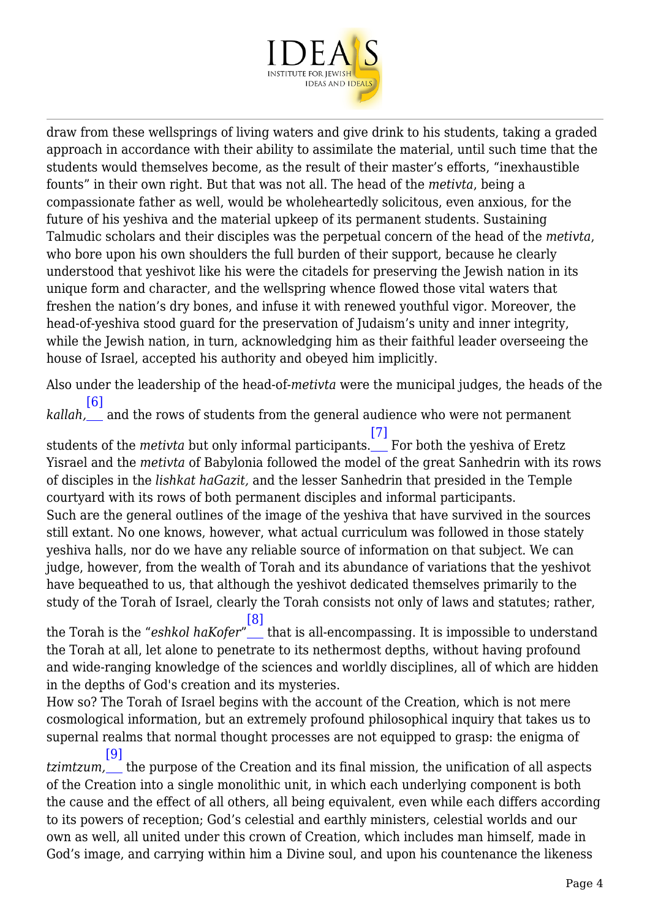

draw from these wellsprings of living waters and give drink to his students, taking a graded approach in accordance with their ability to assimilate the material, until such time that the students would themselves become, as the result of their master's efforts, "inexhaustible founts" in their own right. But that was not all. The head of the *metivta*, being a compassionate father as well, would be wholeheartedly solicitous, even anxious, for the future of his yeshiva and the material upkeep of its permanent students. Sustaining Talmudic scholars and their disciples was the perpetual concern of the head of the *metivta*, who bore upon his own shoulders the full burden of their support, because he clearly understood that yeshivot like his were the citadels for preserving the Jewish nation in its unique form and character, and the wellspring whence flowed those vital waters that freshen the nation's dry bones, and infuse it with renewed youthful vigor. Moreover, the head-of-yeshiva stood guard for the preservation of Judaism's unity and inner integrity, while the Jewish nation, in turn, acknowledging him as their faithful leader overseeing the house of Israel, accepted his authority and obeyed him implicitly.

<span id="page-3-0"></span>Also under the leadership of the head-of-*metivta* were the municipal judges, the heads of the [\[6\]](#page-9-5)

*kallah,* and the rows of students from the general audience who were not permanent

<span id="page-3-1"></span>students of the *metivta* but only informal participants. For both the yeshiva of Eretz [\[7\]](#page-9-6) Yisrael and the *metivta* of Babylonia followed the model of the great Sanhedrin with its rows of disciples in the *lishkat haGazit,* and the lesser Sanhedrin that presided in the Temple courtyard with its rows of both permanent disciples and informal participants. Such are the general outlines of the image of the yeshiva that have survived in the sources still extant. No one knows, however, what actual curriculum was followed in those stately yeshiva halls, nor do we have any reliable source of information on that subject. We can judge, however, from the wealth of Torah and its abundance of variations that the yeshivot have bequeathed to us, that although the yeshivot dedicated themselves primarily to the study of the Torah of Israel, clearly the Torah consists not only of laws and statutes; rather,

<span id="page-3-2"></span>the Torah is the "*eshkol haKofer"* \_\_ that is all-encompassing. It is impossible to understand [\[8\]](#page-10-0) the Torah at all, let alone to penetrate to its nethermost depths, without having profound and wide-ranging knowledge of the sciences and worldly disciplines, all of which are hidden in the depths of God's creation and its mysteries.

How so? The Torah of Israel begins with the account of the Creation, which is not mere cosmological information, but an extremely profound philosophical inquiry that takes us to supernal realms that normal thought processes are not equipped to grasp: the enigma of [\[9\]](#page-10-1)

<span id="page-3-3"></span>*tzimtzum,* \_\_ the purpose of the Creation and its final mission, the unification of all aspects of the Creation into a single monolithic unit, in which each underlying component is both the cause and the effect of all others, all being equivalent, even while each differs according to its powers of reception; God's celestial and earthly ministers, celestial worlds and our own as well, all united under this crown of Creation, which includes man himself, made in God's image, and carrying within him a Divine soul, and upon his countenance the likeness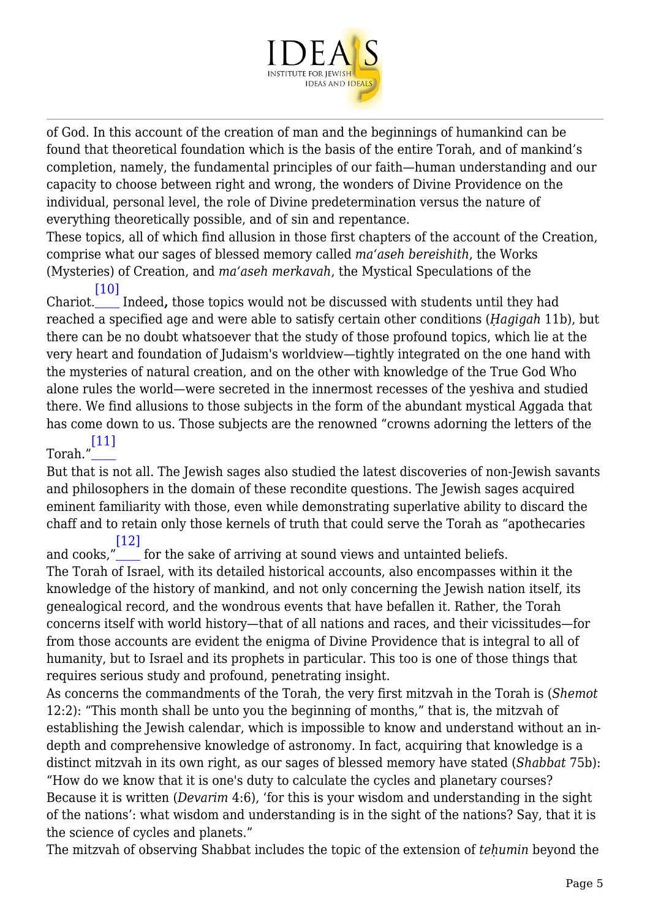

of God. In this account of the creation of man and the beginnings of humankind can be found that theoretical foundation which is the basis of the entire Torah, and of mankind's completion, namely, the fundamental principles of our faith—human understanding and our capacity to choose between right and wrong, the wonders of Divine Providence on the individual, personal level, the role of Divine predetermination versus the nature of everything theoretically possible, and of sin and repentance.

These topics, all of which find allusion in those first chapters of the account of the Creation, comprise what our sages of blessed memory called *ma'aseh bereishith*, the Works (Mysteries) of Creation, and *ma'aseh merkavah*, the Mystical Speculations of the [\[10\]](#page-10-2)

<span id="page-4-0"></span>Chariot. Indeed**,** those topics would not be discussed with students until they had reached a specified age and were able to satisfy certain other conditions (*Ḥagigah* 11b), but there can be no doubt whatsoever that the study of those profound topics, which lie at the very heart and foundation of Judaism's worldview—tightly integrated on the one hand with the mysteries of natural creation, and on the other with knowledge of the True God Who alone rules the world—were secreted in the innermost recesses of the yeshiva and studied there. We find allusions to those subjects in the form of the abundant mystical Aggada that has come down to us. Those subjects are the renowned "crowns adorning the letters of the

#### <span id="page-4-1"></span>Torah." [\[11\]](#page-10-3)

But that is not all. The Jewish sages also studied the latest discoveries of non-Jewish savants and philosophers in the domain of these recondite questions. The Jewish sages acquired eminent familiarity with those, even while demonstrating superlative ability to discard the chaff and to retain only those kernels of truth that could serve the Torah as "apothecaries [\[12\]](#page-10-4)

<span id="page-4-2"></span>and cooks,"\_\_\_\_ for the sake of arriving at sound views and untainted beliefs. The Torah of Israel, with its detailed historical accounts, also encompasses within it the knowledge of the history of mankind, and not only concerning the Jewish nation itself, its genealogical record, and the wondrous events that have befallen it. Rather, the Torah concerns itself with world history—that of all nations and races, and their vicissitudes—for from those accounts are evident the enigma of Divine Providence that is integral to all of humanity, but to Israel and its prophets in particular. This too is one of those things that requires serious study and profound, penetrating insight.

As concerns the commandments of the Torah, the very first mitzvah in the Torah is (*Shemot* 12:2): "This month shall be unto you the beginning of months," that is, the mitzvah of establishing the Jewish calendar, which is impossible to know and understand without an indepth and comprehensive knowledge of astronomy. In fact, acquiring that knowledge is a distinct mitzvah in its own right, as our sages of blessed memory have stated (*Shabbat* 75b): "How do we know that it is one's duty to calculate the cycles and planetary courses? Because it is written (*Devarim* 4:6), 'for this is your wisdom and understanding in the sight of the nations': what wisdom and understanding is in the sight of the nations? Say, that it is the science of cycles and planets."

<span id="page-4-3"></span>The mitzvah of observing Shabbat includes the topic of the extension of *teḥumin* beyond the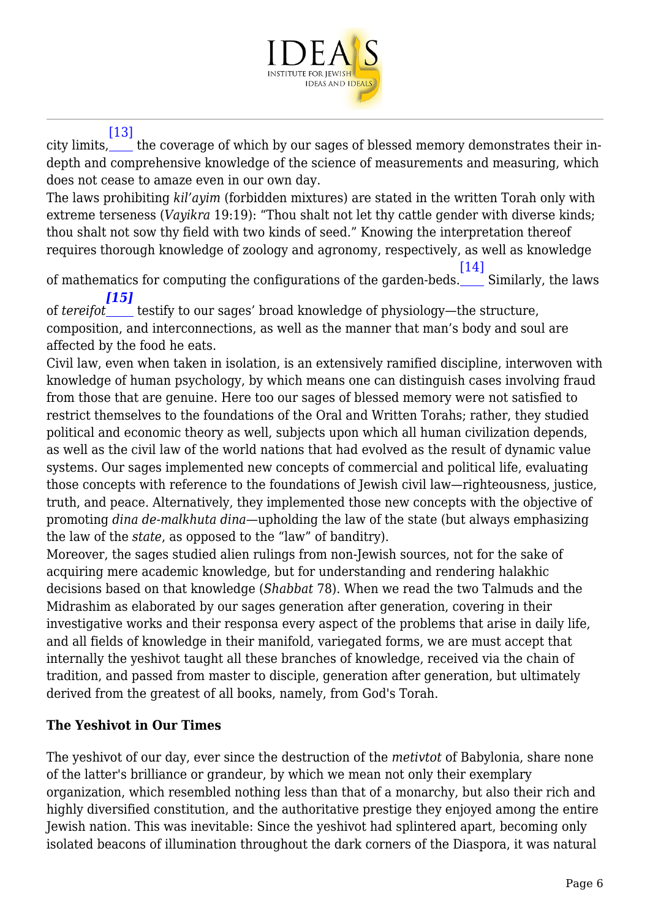

#### [\[13\]](#page-10-5)

city limits,\_\_\_\_ the coverage of which by our sages of blessed memory demonstrates their indepth and comprehensive knowledge of the science of measurements and measuring, which does not cease to amaze even in our own day.

The laws prohibiting *kil'ayim* (forbidden mixtures) are stated in the written Torah only with extreme terseness (*Vayikra* 19:19): "Thou shalt not let thy cattle gender with diverse kinds; thou shalt not sow thy field with two kinds of seed." Knowing the interpretation thereof requires thorough knowledge of zoology and agronomy, respectively, as well as knowledge

<span id="page-5-0"></span>of mathematics for computing the configurations of the garden-beds.\_\_\_\_ Similarly, the laws [\[14\]](#page-10-6)

<span id="page-5-1"></span>of *tereifot\_\_\_\_\_* testify to our sages' broad knowledge of physiology—the structure, *[\[15\]](#page-10-7)* composition, and interconnections, as well as the manner that man's body and soul are affected by the food he eats.

Civil law, even when taken in isolation, is an extensively ramified discipline, interwoven with knowledge of human psychology, by which means one can distinguish cases involving fraud from those that are genuine. Here too our sages of blessed memory were not satisfied to restrict themselves to the foundations of the Oral and Written Torahs; rather, they studied political and economic theory as well, subjects upon which all human civilization depends, as well as the civil law of the world nations that had evolved as the result of dynamic value systems. Our sages implemented new concepts of commercial and political life, evaluating those concepts with reference to the foundations of Jewish civil law—righteousness, justice, truth, and peace. Alternatively, they implemented those new concepts with the objective of promoting *dina de-malkhuta dina—*upholding the law of the state (but always emphasizing the law of the *state*, as opposed to the "law" of banditry).

Moreover, the sages studied alien rulings from non-Jewish sources, not for the sake of acquiring mere academic knowledge, but for understanding and rendering halakhic decisions based on that knowledge (*Shabbat* 78). When we read the two Talmuds and the Midrashim as elaborated by our sages generation after generation, covering in their investigative works and their responsa every aspect of the problems that arise in daily life, and all fields of knowledge in their manifold, variegated forms, we are must accept that internally the yeshivot taught all these branches of knowledge, received via the chain of tradition, and passed from master to disciple, generation after generation, but ultimately derived from the greatest of all books, namely, from God's Torah.

### **The Yeshivot in Our Times**

The yeshivot of our day, ever since the destruction of the *metivtot* of Babylonia, share none of the latter's brilliance or grandeur, by which we mean not only their exemplary organization, which resembled nothing less than that of a monarchy, but also their rich and highly diversified constitution, and the authoritative prestige they enjoyed among the entire Jewish nation. This was inevitable: Since the yeshivot had splintered apart, becoming only isolated beacons of illumination throughout the dark corners of the Diaspora, it was natural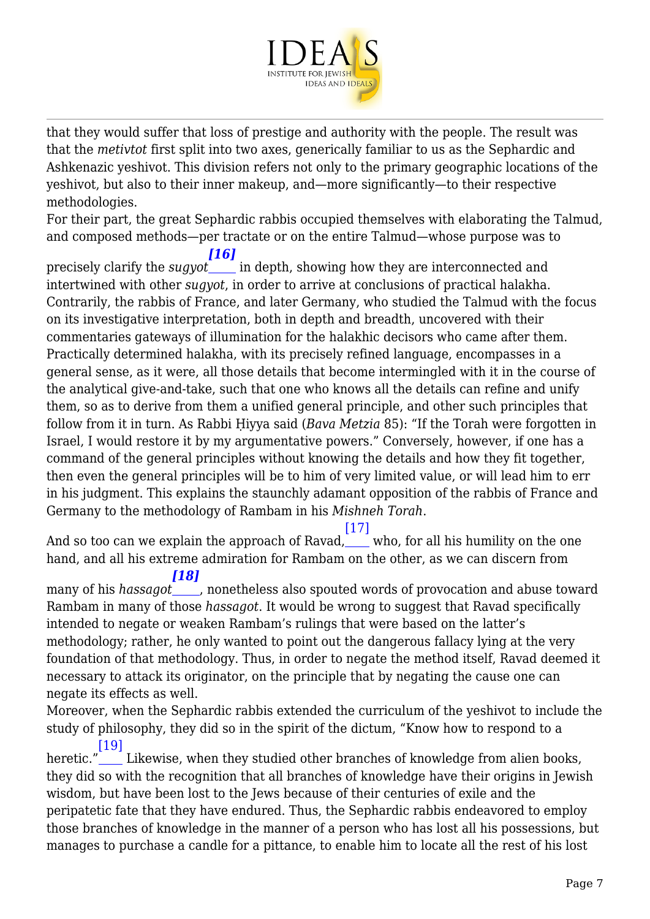

that they would suffer that loss of prestige and authority with the people. The result was that the *metivtot* first split into two axes, generically familiar to us as the Sephardic and Ashkenazic yeshivot. This division refers not only to the primary geographic locations of the yeshivot, but also to their inner makeup, and—more significantly—to their respective methodologies.

For their part, the great Sephardic rabbis occupied themselves with elaborating the Talmud, and composed methods—per tractate or on the entire Talmud—whose purpose was to *[\[16\]](#page-10-8)*

<span id="page-6-0"></span>precisely clarify the *sugyot* in depth, showing how they are interconnected and intertwined with other *sugyot*, in order to arrive at conclusions of practical halakha. Contrarily, the rabbis of France, and later Germany, who studied the Talmud with the focus on its investigative interpretation, both in depth and breadth, uncovered with their commentaries gateways of illumination for the halakhic decisors who came after them. Practically determined halakha, with its precisely refined language, encompasses in a general sense, as it were, all those details that become intermingled with it in the course of the analytical give-and-take, such that one who knows all the details can refine and unify them, so as to derive from them a unified general principle, and other such principles that follow from it in turn. As Rabbi Ḥiyya said (*Bava Metzia* 85): "If the Torah were forgotten in Israel, I would restore it by my argumentative powers." Conversely, however, if one has a command of the general principles without knowing the details and how they fit together, then even the general principles will be to him of very limited value, or will lead him to err in his judgment. This explains the staunchly adamant opposition of the rabbis of France and Germany to the methodology of Rambam in his *Mishneh Torah*.

[\[17\]](#page-10-9)

<span id="page-6-1"></span>And so too can we explain the approach of Ravad,\_\_\_ who, for all his humility on the one hand, and all his extreme admiration for Rambam on the other, as we can discern from *[\[18\]](#page-10-10)*

<span id="page-6-2"></span>many of his *hassagot* , nonetheless also spouted words of provocation and abuse toward Rambam in many of those *hassagot*. It would be wrong to suggest that Ravad specifically intended to negate or weaken Rambam's rulings that were based on the latter's methodology; rather, he only wanted to point out the dangerous fallacy lying at the very foundation of that methodology. Thus, in order to negate the method itself, Ravad deemed it necessary to attack its originator, on the principle that by negating the cause one can negate its effects as well.

Moreover, when the Sephardic rabbis extended the curriculum of the yeshivot to include the study of philosophy, they did so in the spirit of the dictum, "Know how to respond to a [\[19\]](#page-10-11)

<span id="page-6-3"></span>heretic.' Likewise, when they studied other branches of knowledge from alien books, they did so with the recognition that all branches of knowledge have their origins in Jewish wisdom, but have been lost to the Jews because of their centuries of exile and the peripatetic fate that they have endured. Thus, the Sephardic rabbis endeavored to employ those branches of knowledge in the manner of a person who has lost all his possessions, but manages to purchase a candle for a pittance, to enable him to locate all the rest of his lost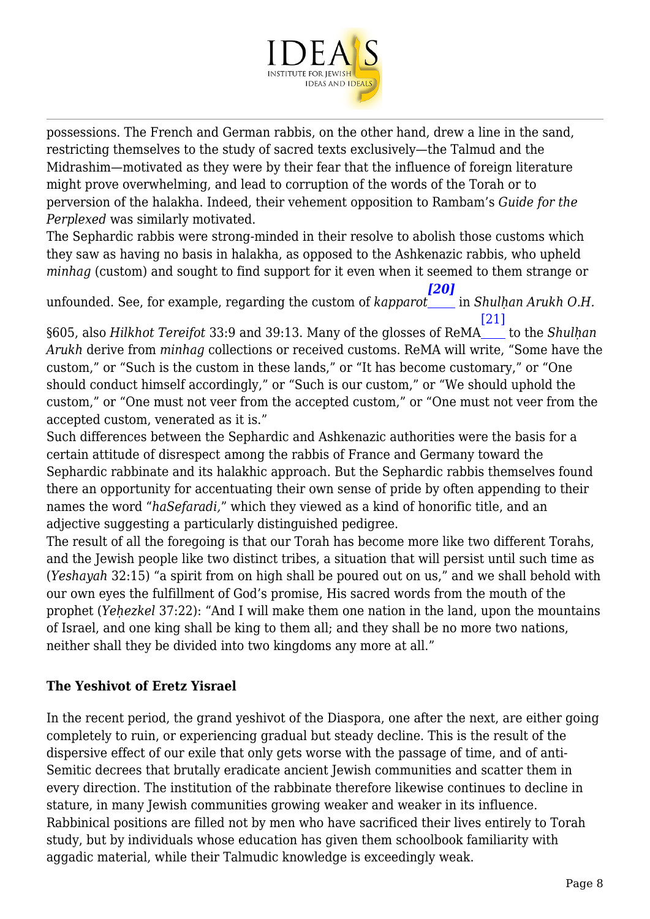

possessions. The French and German rabbis, on the other hand, drew a line in the sand, restricting themselves to the study of sacred texts exclusively—the Talmud and the Midrashim—motivated as they were by their fear that the influence of foreign literature might prove overwhelming, and lead to corruption of the words of the Torah or to perversion of the halakha. Indeed, their vehement opposition to Rambam's *Guide for the Perplexed* was similarly motivated.

The Sephardic rabbis were strong-minded in their resolve to abolish those customs which they saw as having no basis in halakha, as opposed to the Ashkenazic rabbis, who upheld *minhag* (custom) and sought to find support for it even when it seemed to them strange or

<span id="page-7-0"></span>unfounded. See, for example, regarding the custom of *kapparot [\[20\]](#page-10-12)* in *Shulhan Arukh O.H.* [\[21\]](#page-10-13)

<span id="page-7-1"></span>§605, also *Hilkhot Tereifot* 33:9 and 39:13. Many of the glosses of ReMA\_\_\_ to the *Shulḥan Arukh* derive from *minhag* collections or received customs. ReMA will write, "Some have the custom," or "Such is the custom in these lands," or "It has become customary," or "One should conduct himself accordingly," or "Such is our custom," or "We should uphold the custom," or "One must not veer from the accepted custom," or "One must not veer from the accepted custom, venerated as it is."

Such differences between the Sephardic and Ashkenazic authorities were the basis for a certain attitude of disrespect among the rabbis of France and Germany toward the Sephardic rabbinate and its halakhic approach. But the Sephardic rabbis themselves found there an opportunity for accentuating their own sense of pride by often appending to their names the word "*haSefaradi,*" which they viewed as a kind of honorific title, and an adjective suggesting a particularly distinguished pedigree.

The result of all the foregoing is that our Torah has become more like two different Torahs, and the Jewish people like two distinct tribes, a situation that will persist until such time as (*Yeshayah* 32:15) "a spirit from on high shall be poured out on us," and we shall behold with our own eyes the fulfillment of God's promise, His sacred words from the mouth of the prophet (*Yeḥezkel* 37:22): "And I will make them one nation in the land, upon the mountains of Israel, and one king shall be king to them all; and they shall be no more two nations, neither shall they be divided into two kingdoms any more at all."

# **The Yeshivot of Eretz Yisrael**

In the recent period, the grand yeshivot of the Diaspora, one after the next, are either going completely to ruin, or experiencing gradual but steady decline. This is the result of the dispersive effect of our exile that only gets worse with the passage of time, and of anti-Semitic decrees that brutally eradicate ancient Jewish communities and scatter them in every direction. The institution of the rabbinate therefore likewise continues to decline in stature, in many Jewish communities growing weaker and weaker in its influence. Rabbinical positions are filled not by men who have sacrificed their lives entirely to Torah study, but by individuals whose education has given them schoolbook familiarity with aggadic material, while their Talmudic knowledge is exceedingly weak.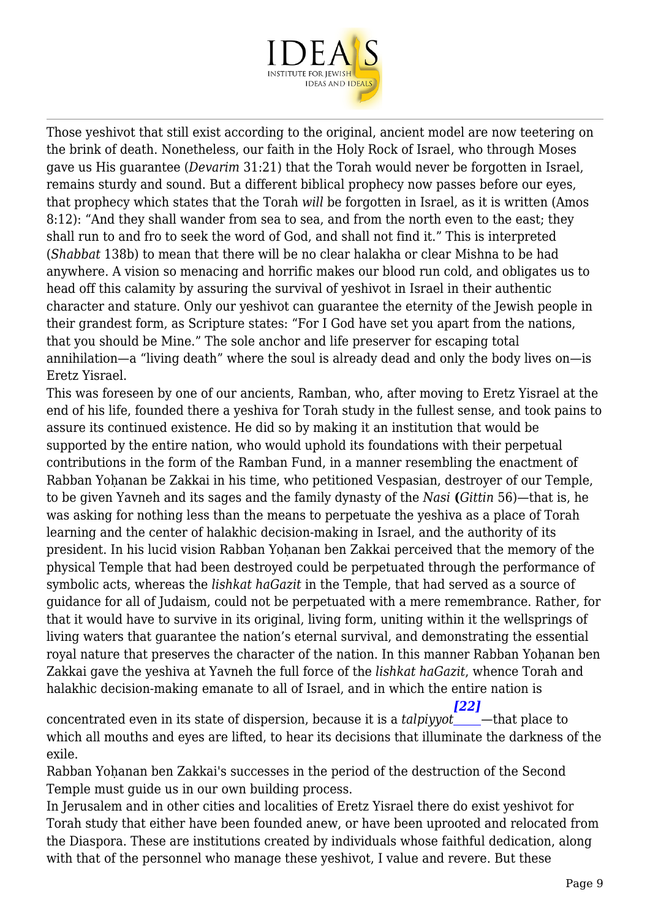

Those yeshivot that still exist according to the original, ancient model are now teetering on the brink of death. Nonetheless, our faith in the Holy Rock of Israel, who through Moses gave us His guarantee (*Devarim* 31:21) that the Torah would never be forgotten in Israel, remains sturdy and sound. But a different biblical prophecy now passes before our eyes, that prophecy which states that the Torah *will* be forgotten in Israel, as it is written (Amos 8:12): "And they shall wander from sea to sea, and from the north even to the east; they shall run to and fro to seek the word of God, and shall not find it." This is interpreted (*Shabbat* 138b) to mean that there will be no clear halakha or clear Mishna to be had anywhere. A vision so menacing and horrific makes our blood run cold, and obligates us to head off this calamity by assuring the survival of yeshivot in Israel in their authentic character and stature. Only our yeshivot can guarantee the eternity of the Jewish people in their grandest form, as Scripture states: "For I God have set you apart from the nations, that you should be Mine." The sole anchor and life preserver for escaping total annihilation—a "living death" where the soul is already dead and only the body lives on—is Eretz Yisrael.

This was foreseen by one of our ancients, Ramban, who, after moving to Eretz Yisrael at the end of his life, founded there a yeshiva for Torah study in the fullest sense, and took pains to assure its continued existence. He did so by making it an institution that would be supported by the entire nation, who would uphold its foundations with their perpetual contributions in the form of the Ramban Fund, in a manner resembling the enactment of Rabban Yoḥanan be Zakkai in his time, who petitioned Vespasian, destroyer of our Temple, to be given Yavneh and its sages and the family dynasty of the *Nasi* **(***Gittin* 56)—that is, he was asking for nothing less than the means to perpetuate the yeshiva as a place of Torah learning and the center of halakhic decision-making in Israel, and the authority of its president. In his lucid vision Rabban Yohanan ben Zakkai perceived that the memory of the physical Temple that had been destroyed could be perpetuated through the performance of symbolic acts, whereas the *lishkat haGazit* in the Temple, that had served as a source of guidance for all of Judaism, could not be perpetuated with a mere remembrance. Rather, for that it would have to survive in its original, living form, uniting within it the wellsprings of living waters that guarantee the nation's eternal survival, and demonstrating the essential royal nature that preserves the character of the nation. In this manner Rabban Yohanan ben Zakkai gave the yeshiva at Yavneh the full force of the *lishkat haGazit*, whence Torah and halakhic decision-making emanate to all of Israel, and in which the entire nation is

<span id="page-8-0"></span>concentrated even in its state of dispersion, because it is a *talpiyyot\_\_\_\_*—that place to *[\[22\]](#page-10-14)* which all mouths and eyes are lifted, to hear its decisions that illuminate the darkness of the exile.

Rabban Yoḥanan ben Zakkai's successes in the period of the destruction of the Second Temple must guide us in our own building process.

In Jerusalem and in other cities and localities of Eretz Yisrael there do exist yeshivot for Torah study that either have been founded anew, or have been uprooted and relocated from the Diaspora. These are institutions created by individuals whose faithful dedication, along with that of the personnel who manage these yeshivot, I value and revere. But these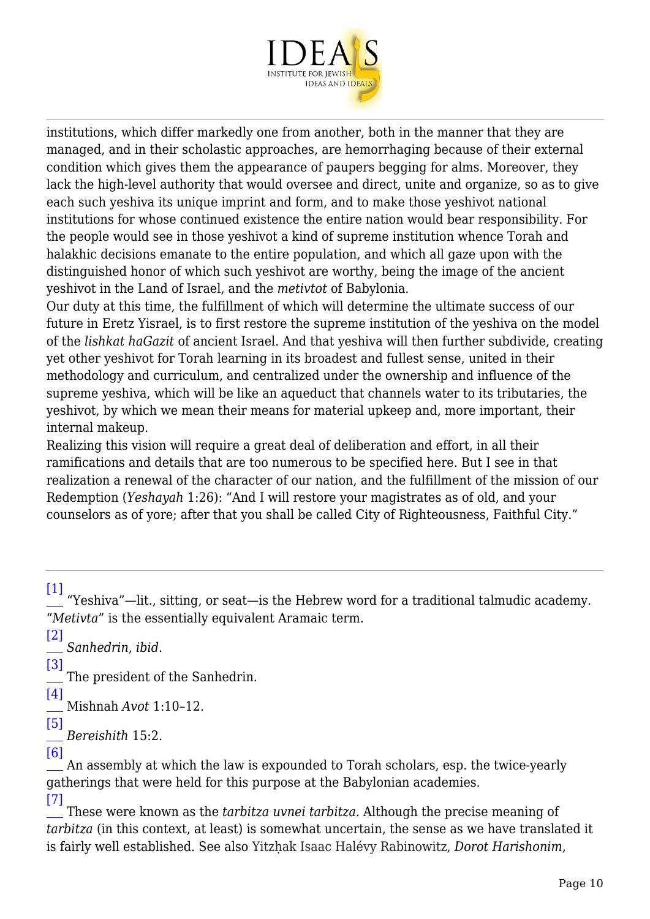

institutions, which differ markedly one from another, both in the manner that they are managed, and in their scholastic approaches, are hemorrhaging because of their external condition which gives them the appearance of paupers begging for alms. Moreover, they lack the high-level authority that would oversee and direct, unite and organize, so as to give each such yeshiva its unique imprint and form, and to make those yeshivot national institutions for whose continued existence the entire nation would bear responsibility. For the people would see in those yeshivot a kind of supreme institution whence Torah and halakhic decisions emanate to the entire population, and which all gaze upon with the distinguished honor of which such yeshivot are worthy, being the image of the ancient yeshivot in the Land of Israel, and the *metivtot* of Babylonia.

Our duty at this time, the fulfillment of which will determine the ultimate success of our future in Eretz Yisrael, is to first restore the supreme institution of the yeshiva on the model of the *lishkat haGazit* of ancient Israel. And that yeshiva will then further subdivide, creating yet other yeshivot for Torah learning in its broadest and fullest sense, united in their methodology and curriculum, and centralized under the ownership and influence of the supreme yeshiva, which will be like an aqueduct that channels water to its tributaries, the yeshivot, by which we mean their means for material upkeep and, more important, their internal makeup.

Realizing this vision will require a great deal of deliberation and effort, in all their ramifications and details that are too numerous to be specified here. But I see in that realization a renewal of the character of our nation, and the fulfillment of the mission of our Redemption (*Yeshayah* 1:26): "And I will restore your magistrates as of old, and your counselors as of yore; after that you shall be called City of Righteousness, Faithful City."

<span id="page-9-0"></span>[\[1\]](#page-0-0)

 "Yeshiva"—lit., sitting, or seat—is the Hebrew word for a traditional talmudic academy. "*Metivta*" is the essentially equivalent Aramaic term.

<span id="page-9-1"></span>[\[2\]](#page-0-1) *Sanhedrin*, *ibid*.

<span id="page-9-2"></span>[\[3\]](#page-1-0)

The president of the Sanhedrin.

<span id="page-9-3"></span>[\[4\]](#page-1-1) Mishnah *Avot* 1:10–12.

<span id="page-9-4"></span>[\[5\]](#page-2-0) *Bereishith* 15:2.

<span id="page-9-5"></span>[\[6\]](#page-3-0)

 An assembly at which the law is expounded to Torah scholars, esp. the twice-yearly gatherings that were held for this purpose at the Babylonian academies. [\[7\]](#page-3-1)

<span id="page-9-6"></span> These were known as the *tarbitza uvnei tarbitza.* Although the precise meaning of *tarbitza* (in this context, at least) is somewhat uncertain, the sense as we have translated it is fairly well established. See also Yitzḥak Isaac Halévy Rabinowitz, *Dorot Harishonim*,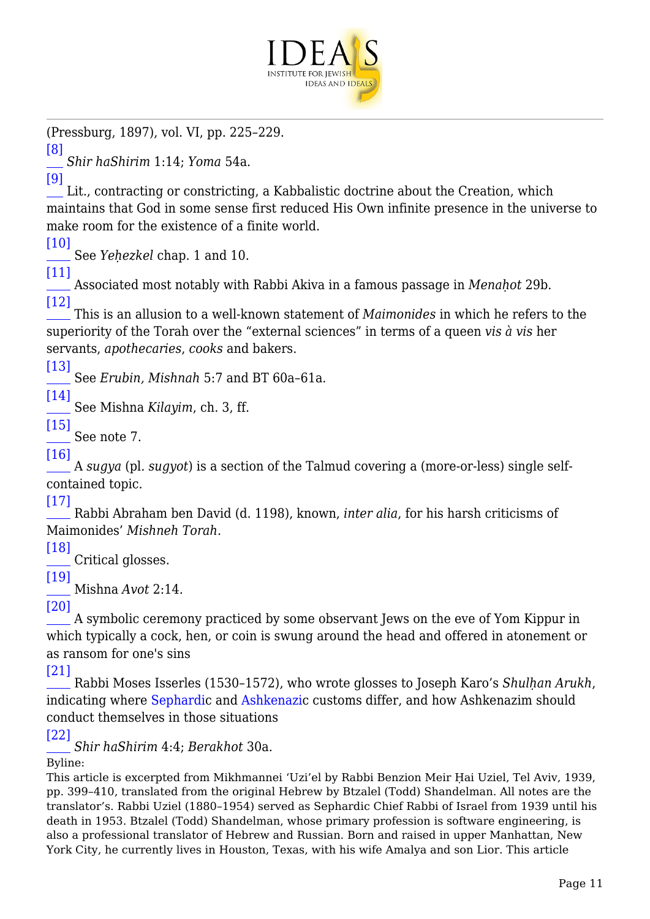

(Pressburg, 1897), vol. VI, pp. 225–229.

<span id="page-10-0"></span>[\[8\]](#page-3-2) *Shir haShirim* 1:14; *Yoma* 54a.

<span id="page-10-1"></span>[\[9\]](#page-3-3)

 Lit., contracting or constricting, a Kabbalistic doctrine about the Creation, which maintains that God in some sense first reduced His Own infinite presence in the universe to make room for the existence of a finite world.

<span id="page-10-2"></span>[\[10\]](#page-4-0)

See *Yeḥezkel* chap. 1 and 10.

<span id="page-10-3"></span>[\[11\]](#page-4-1)

 Associated most notably with Rabbi Akiva in a famous passage in *Menaḥot* 29b. [\[12\]](#page-4-2)

<span id="page-10-4"></span>This is an allusion to a well-known statement of *Maimonides* in which he refers to the superiority of the Torah over the "external sciences" in terms of a queen *vis à vis* her servants, *apothecaries*, *cooks* and bakers.

<span id="page-10-5"></span>[\[13\]](#page-4-3)

See *Erubin, Mishnah* 5:7 and BT 60a–61a.

<span id="page-10-6"></span>[\[14\]](#page-5-0)

See Mishna *Kilayim*, ch. 3, ff.

<span id="page-10-7"></span> $[15]$ See note 7.

<span id="page-10-8"></span>[\[16\]](#page-6-0)

 A *sugya* (pl. *sugyot*) is a section of the Talmud covering a (more-or-less) single selfcontained topic.

<span id="page-10-9"></span> $[17]$  Rabbi Abraham ben David (d. 1198), known, *inter alia*, for his harsh criticisms of Maimonides' *Mishneh Torah.*

<span id="page-10-10"></span>[\[18\]](#page-6-2)

Critical glosses.

<span id="page-10-11"></span>[\[19\]](#page-6-3)

Mishna *Avot* 2:14.

<span id="page-10-12"></span>[\[20\]](#page-7-0)

 A symbolic ceremony practiced by some observant Jews on the eve of Yom Kippur in which typically a cock, hen, or coin is swung around the head and offered in atonement or as ransom for one's sins

<span id="page-10-13"></span>[\[21\]](#page-7-1)

 Rabbi Moses Isserles (1530–1572), who wrote glosses to Joseph Karo's *Shulḥan Arukh*, indicating where [Sephardi](https://en.wikipedia.org/wiki/Sephardi)c and [Ashkenazi](https://en.wikipedia.org/wiki/Ashkenazi)c customs differ, and how Ashkenazim should conduct themselves in those situations

<span id="page-10-14"></span>[\[22\]](#page-8-0)

*Shir haShirim* 4:4; *Berakhot* 30a.

Byline:

This article is excerpted from Mikhmannei 'Uzi'el by Rabbi Benzion Meir Ḥai Uziel, Tel Aviv, 1939, pp. 399–410, translated from the original Hebrew by Btzalel (Todd) Shandelman. All notes are the translator's. Rabbi Uziel (1880–1954) served as Sephardic Chief Rabbi of Israel from 1939 until his death in 1953. Btzalel (Todd) Shandelman, whose primary profession is software engineering, is also a professional translator of Hebrew and Russian. Born and raised in upper Manhattan, New York City, he currently lives in Houston, Texas, with his wife Amalya and son Lior. This article